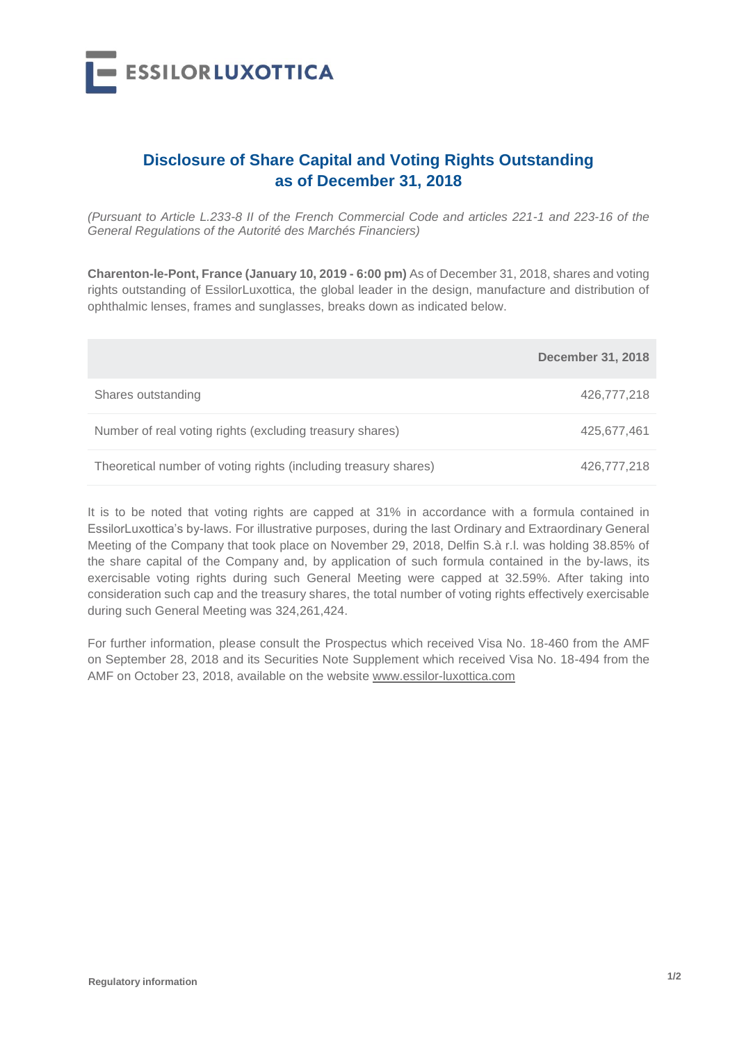

## **Disclosure of Share Capital and Voting Rights Outstanding as of December 31, 2018**

*(Pursuant to Article L.233-8 II of the French Commercial Code and articles 221-1 and 223-16 of the General Regulations of the Autorité des Marchés Financiers)*

**Charenton-le-Pont, France (January 10, 2019 - 6:00 pm)** As of December 31, 2018, shares and voting rights outstanding of EssilorLuxottica, the global leader in the design, manufacture and distribution of ophthalmic lenses, frames and sunglasses, breaks down as indicated below.

|                                                                 | <b>December 31, 2018</b> |
|-----------------------------------------------------------------|--------------------------|
| Shares outstanding                                              | 426,777,218              |
| Number of real voting rights (excluding treasury shares)        | 425,677,461              |
| Theoretical number of voting rights (including treasury shares) | 426,777,218              |

It is to be noted that voting rights are capped at 31% in accordance with a formula contained in EssilorLuxottica's by-laws. For illustrative purposes, during the last Ordinary and Extraordinary General Meeting of the Company that took place on November 29, 2018, Delfin S.à r.l. was holding 38.85% of the share capital of the Company and, by application of such formula contained in the by-laws, its exercisable voting rights during such General Meeting were capped at 32.59%. After taking into consideration such cap and the treasury shares, the total number of voting rights effectively exercisable during such General Meeting was 324,261,424.

For further information, please consult the Prospectus which received Visa No. 18-460 from the AMF on September 28, 2018 and its Securities Note Supplement which received Visa No. 18-494 from the AMF on October 23, 2018, available on the website www.essilor-luxottica.com